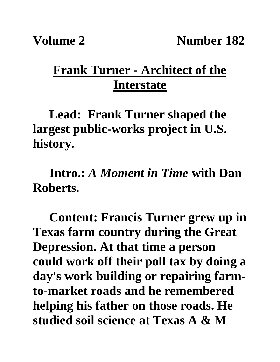## **Frank Turner - Architect of the Interstate**

**Lead: Frank Turner shaped the largest public-works project in U.S. history.** 

**Intro.:** *A Moment in Time* **with Dan Roberts.**

**Content: Francis Turner grew up in Texas farm country during the Great Depression. At that time a person could work off their poll tax by doing a day's work building or repairing farmto-market roads and he remembered helping his father on those roads. He studied soil science at Texas A & M**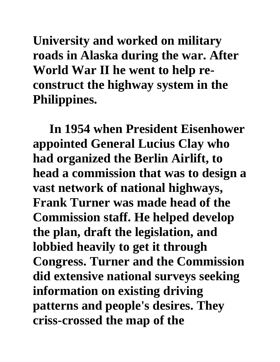**University and worked on military roads in Alaska during the war. After World War II he went to help reconstruct the highway system in the Philippines.**

**In 1954 when President Eisenhower appointed General Lucius Clay who had organized the Berlin Airlift, to head a commission that was to design a vast network of national highways, Frank Turner was made head of the Commission staff. He helped develop the plan, draft the legislation, and lobbied heavily to get it through Congress. Turner and the Commission did extensive national surveys seeking information on existing driving patterns and people's desires. They criss-crossed the map of the**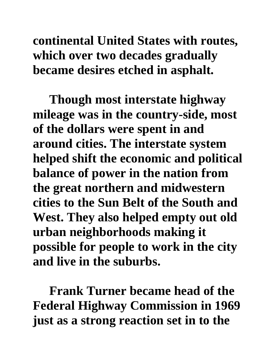## **continental United States with routes, which over two decades gradually became desires etched in asphalt.**

**Though most interstate highway mileage was in the country-side, most of the dollars were spent in and around cities. The interstate system helped shift the economic and political balance of power in the nation from the great northern and midwestern cities to the Sun Belt of the South and West. They also helped empty out old urban neighborhoods making it possible for people to work in the city and live in the suburbs.**

**Frank Turner became head of the Federal Highway Commission in 1969 just as a strong reaction set in to the**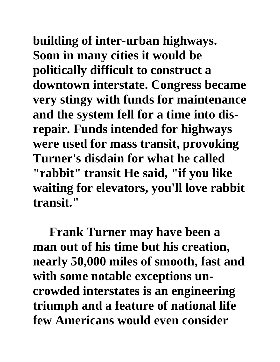**building of inter-urban highways. Soon in many cities it would be politically difficult to construct a downtown interstate. Congress became very stingy with funds for maintenance and the system fell for a time into disrepair. Funds intended for highways were used for mass transit, provoking Turner's disdain for what he called "rabbit" transit He said, "if you like waiting for elevators, you'll love rabbit transit."**

**Frank Turner may have been a man out of his time but his creation, nearly 50,000 miles of smooth, fast and with some notable exceptions uncrowded interstates is an engineering triumph and a feature of national life few Americans would even consider**